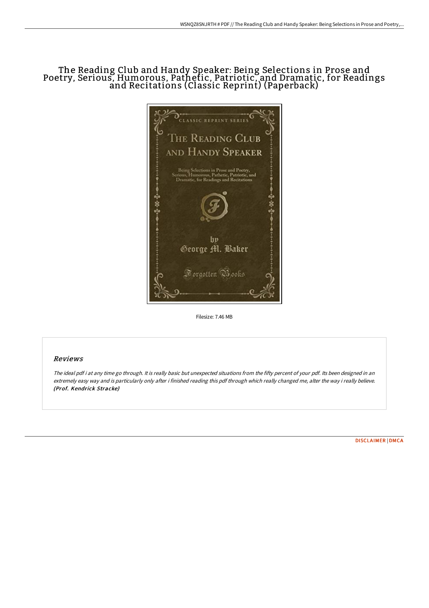## The Reading Club and Handy Speaker: Being Selections in Prose and Poetry, Serious, Humorous, Pathetic, Patriotic, and Dramatic, for Readings and Recitations (Classic Reprint) (Paperback)



Filesize: 7.46 MB

## Reviews

The ideal pdf i at any time go through. It is really basic but unexpected situations from the fifty percent of your pdf. Its been designed in an extremely easy way and is particularly only after i finished reading this pdf through which really changed me, alter the way i really believe. (Prof. Kendrick Stracke)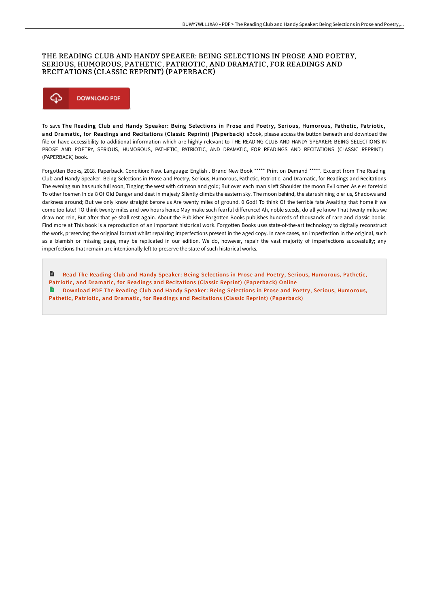## THE READING CLUB AND HANDY SPEAKER: BEING SELECTIONS IN PROSE AND POETRY, SERIOUS, HUMOROUS, PATHETIC, PATRIOTIC, AND DRAMATIC, FOR READINGS AND RECITATIONS (CLASSIC REPRINT) (PAPERBACK)



To save The Reading Club and Handy Speaker: Being Selections in Prose and Poetry, Serious, Humorous, Pathetic, Patriotic, and Dramatic, for Readings and Recitations (Classic Reprint) (Paperback) eBook, please access the button beneath and download the file or have accessibility to additional information which are highly relevant to THE READING CLUB AND HANDY SPEAKER: BEING SELECTIONS IN PROSE AND POETRY, SERIOUS, HUMOROUS, PATHETIC, PATRIOTIC, AND DRAMATIC, FOR READINGS AND RECITATIONS (CLASSIC REPRINT) (PAPERBACK) book.

Forgotten Books, 2018. Paperback. Condition: New. Language: English . Brand New Book \*\*\*\*\* Print on Demand \*\*\*\*\*. Excerpt from The Reading Club and Handy Speaker: Being Selections in Prose and Poetry, Serious, Humorous, Pathetic, Patriotic, and Dramatic, for Readings and Recitations The evening sun has sunk full soon, Tinging the west with crimson and gold; But over each man s left Shoulder the moon Evil omen As e er foretold To other foemen In da 8 Of Old Danger and deat in majesty Silently climbs the eastern sky. The moon behind, the stars shining o er us, Shadows and darkness around; But we only know straight before us Are twenty miles of ground. 0 God! To think Of the terrible fate Awaiting that home if we come too late! TO think twenty miles and two hours hence May make such fearful difference! Ah, noble steeds, do all ye know That twenty miles we draw not rein, But aFer that ye shall rest again. About the Publisher Forgotten Books publishes hundreds of thousands of rare and classic books. Find more at This book is a reproduction of an important historical work. Forgotten Books uses state-of-the-art technology to digitally reconstruct the work, preserving the original format whilst repairing imperfections present in the aged copy. In rare cases, an imperfection in the original, such as a blemish or missing page, may be replicated in our edition. We do, however, repair the vast majority of imperfections successfully; any imperfections that remain are intentionally left to preserve the state of such historical works.

 $\blacksquare$ Read The Reading Club and Handy Speaker: Being Selections in Prose and Poetry, Serious, Humorous, Pathetic, Patriotic, and Dramatic, for Readings and Recitations (Classic Reprint) [\(Paperback\)](http://techno-pub.tech/the-reading-club-and-handy-speaker-being-selecti.html) Online В Download PDF The Reading Club and Handy Speaker: Being Selections in Prose and Poetry, Serious, Humorous, Pathetic, Patriotic, and Dramatic, for Readings and Recitations (Classic Reprint) [\(Paperback\)](http://techno-pub.tech/the-reading-club-and-handy-speaker-being-selecti.html)